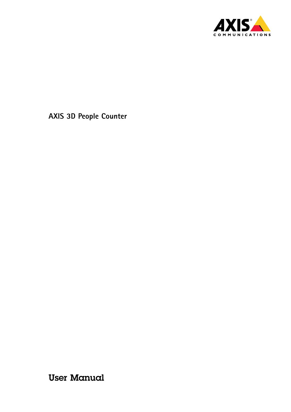

User Manual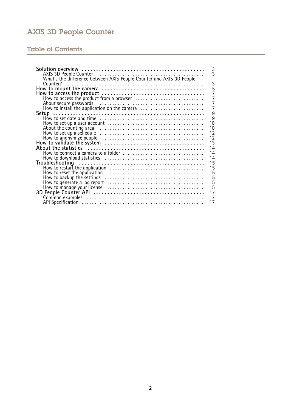## Table of Contents

| 3                                                                                                                   |
|---------------------------------------------------------------------------------------------------------------------|
|                                                                                                                     |
| What's the difference between AXIS People Counter and AXIS 3D People                                                |
| 3                                                                                                                   |
| $\frac{5}{7}$                                                                                                       |
|                                                                                                                     |
| $\overline{7}$                                                                                                      |
| $\overline{7}$                                                                                                      |
| $\overline{7}$<br>How to install the application on the camera                                                      |
| 9                                                                                                                   |
| $\overline{9}$                                                                                                      |
| 10                                                                                                                  |
| 10                                                                                                                  |
| 12                                                                                                                  |
| 12                                                                                                                  |
| 13                                                                                                                  |
| 14                                                                                                                  |
| 14                                                                                                                  |
| 14                                                                                                                  |
| 15                                                                                                                  |
| 15                                                                                                                  |
| 15<br>How to reset the application $\ldots, \ldots, \ldots, \ldots, \ldots, \ldots, \ldots, \ldots, \ldots, \ldots$ |
| 15                                                                                                                  |
| 15                                                                                                                  |
| 15                                                                                                                  |
| 17                                                                                                                  |
| 17                                                                                                                  |
| 17                                                                                                                  |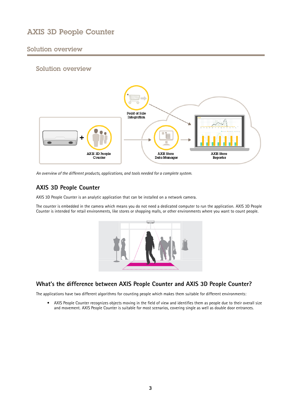## <span id="page-2-0"></span>Solution overview

## Solution overview



*An overview of the different products, applications, and tools needed for <sup>a</sup> complete system.*

## **AXIS 3D People Counter**

AXIS 3D People Counter is an analytic application that can be installed on <sup>a</sup> network camera.

The counter is embedded in the camera which means you do not need <sup>a</sup> dedicated computer to run the application. AXIS 3D People Counter is intended for retail environments, like stores or shopping malls, or other environments where you want to count people.



## **What's the difference between AXIS People Counter and AXIS 3D People Counter?**

The applications have two different algorithms for counting people which makes them suitable for different environments:

• AXIS People Counter recognizes objects moving in the field of view and identifies them as people due to their overall size and movement. AXIS People Counter is suitable for most scenarios, covering single as well as double door entrances.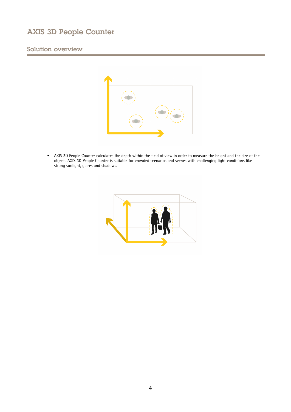## Solution overview



• AXIS 3D People Counter calculates the depth within the field of view in order to measure the height and the size of the object. AXIS 3D People Counter is suitable for crowded scenarios and scenes with challenging light conditions like strong sunlight, glares and shadows.

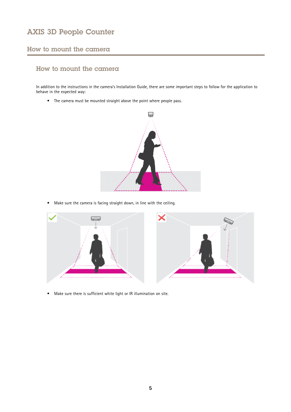## <span id="page-4-0"></span>How to mount the camera

## How to mount the camera

In addition to the instructions in the camera's Installation Guide, there are some important steps to follow for the application to behave in the expected way:

• The camera must be mounted straight above the point where people pass.



•Make sure the camera is facing straight down, in line with the ceiling.



•Make sure there is sufficient white light or IR illumination on site.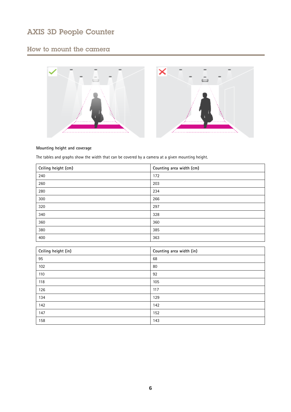## How to mount the camera



### **Mounting height and coverage**

The tables and graphs show the width that can be covered by <sup>a</sup> camera at <sup>a</sup> given mounting height.

| Ceiling height (cm) | Counting area width (cm) |
|---------------------|--------------------------|
| 240                 | 172                      |
| 260                 | 203                      |
| 280                 | 234                      |
| 300                 | 266                      |
| 320                 | 297                      |
| 340                 | 328                      |
| 360                 | 360                      |
| 380                 | 385                      |
| 400                 | 363                      |

| Ceiling height (in) | Counting area width (in) |
|---------------------|--------------------------|
| 95                  | 68                       |
| 102                 | 80                       |
| 110                 | 92                       |
| 118                 | 105                      |
| 126                 | 117                      |
| 134                 | 129                      |
| 142                 | 142                      |
| 147                 | 152                      |
| 158                 | 143                      |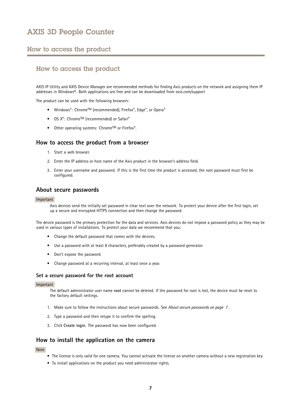### <span id="page-6-0"></span>How to access the product

### How to access the product

AXIS IP Utility and AXIS Device Manager are recommended methods for finding Axis products on the network and assigning them IP addresses in Windows®. Both applications are free and can be downloaded from *axis.com/support*

The product can be used with the following browsers:

- Windows®: Chrome™ (recommended), Firefox®, Edge®, or Opera®
- $OS X^{\circ}$ : Chrome<sup>IM</sup> (recommended) or Safari $^{\circ}$
- Other operating systems: Chrome<sup>IM</sup> or Firefox<sup>®</sup>.

### **How to access the product from <sup>a</sup> browser**

- 1. Start <sup>a</sup> web browser.
- 2. Enter the IP address or host name of the Axis product in the browser's address field.
- 3. Enter your username and password. If this is the first time the product is accessed, the root password must first be configured.

### **About secure passwords**

#### Important

Axis devices send the initially set password in clear text over the network. To protect your device after the first login, set up <sup>a</sup> secure and encrypted HTTPS connection and then change the password.

The device password is the primary protection for the data and services. Axis devices do not impose <sup>a</sup> password policy as they may be used in various types of installations. To protect your data we recommend that you:

- Change the default password that comes with the devices.
- Use <sup>a</sup> password with at least 8 characters, preferably created by <sup>a</sup> password generator.
- Don't expose the password.
- Change password at <sup>a</sup> recurring interval, at least once <sup>a</sup> year.

### **Set <sup>a</sup> secure password for the root account**

#### Important

The default administrator user name **root** cannot be deleted. If the password for root is lost, the device must be reset to the factory default settings.

- 1. Make sure to follow the instructions about secure passwords. See *About secure passwords on page <sup>7</sup>* .
- 2. Type <sup>a</sup> password and then retype it to confirm the spelling.
- 3. Click **Create login**. The password has now been configured.

### **How to install the application on the camera**

Note

- The license is only valid for one camera. You cannot activate the license on another camera without <sup>a</sup> new registration key.
- To install applications on the product you need administrator rights.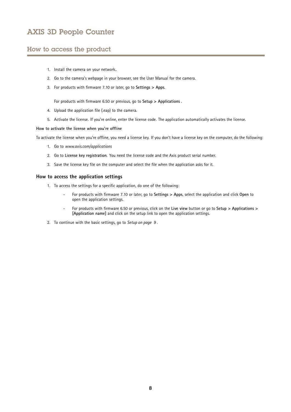## How to access the product

- 1. Install the camera on your network..
- 2. Go to the camera's webpage in your browser, see the User Manual for the camera.
- 3. For products with firmware 7.10 or later, go to **Settings <sup>&</sup>gt; Apps**.

For products with firmware 6.50 or previous, go to **Setup <sup>&</sup>gt; Applications** .

- 4. Upload the application file (.eap) to the camera.
- 5. Activate the license. If you're online, enter the license code. The application automatically activates the license.

#### **How to activate the license when you're offline**

To activate the license when you're offline, you need <sup>a</sup> license key. If you don't have <sup>a</sup> license key on the computer, do the following:

- 1. Go to *www.axis.com/applications*
- 2. Go to **License key registration**. You need the license code and the Axis product serial number.
- 3. Save the license key file on the computer and select the file when the application asks for it.

### **How to access the application settings**

- 1. To access the settings for <sup>a</sup> specific application, do one of the following:
	- For products with firmware 7.10 or later, go to **Settings <sup>&</sup>gt; Apps**, select the application and click **Open** to open the application settings.
	- For products with firmware 6.50 or previous, click on the **Live view** button or go to **Setup <sup>&</sup>gt; Applications <sup>&</sup>gt; [Application name]** and click on the setup link to open the application settings.
- 2. To continue with the basic settings, go to *[Setup](#page-8-0) on page [9](#page-8-0)* .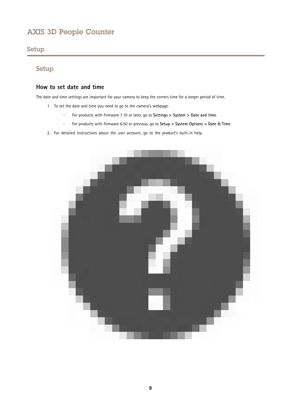## <span id="page-8-0"></span>Setup

## Setup

### **How to set date and time**

The date and time settings are important for your camera to keep the correct time for <sup>a</sup> longer period of time.

- 1. To set the date and time you need to go to the camera's webpage.
	- -For products with firmware 7.10 or later, go to **Settings <sup>&</sup>gt; System <sup>&</sup>gt; Date and time**.
	- -For products with firmware 6.50 or previous, go to **Setup <sup>&</sup>gt; System Options <sup>&</sup>gt; Date & Time**.
- 2. For detailed instructions about the user account, go to the product's built-in help.

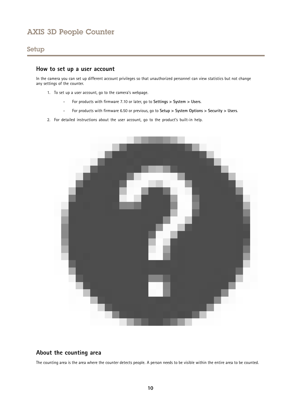## <span id="page-9-0"></span>Setup

### **How to set up <sup>a</sup> user account**

In the camera you can set up different account privileges so that unauthorized personnel can view statistics but not change any settings of the counter.

- 1. To set up <sup>a</sup> user account, go to the camera's webpage.
	- -For products with firmware 7.10 or later, go to **Settings <sup>&</sup>gt; System <sup>&</sup>gt; Users**.
	- -For products with firmware 6.50 or previous, go to **Setup <sup>&</sup>gt; System Options <sup>&</sup>gt; Security <sup>&</sup>gt; Users**.
- 2. For detailed instructions about the user account, go to the product's built-in help.



## **About the counting area**

The counting area is the area where the counter detects people. A person needs to be visible within the entire area to be counted.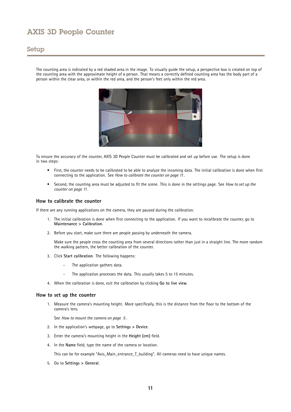### Setup

The counting area is indicated by <sup>a</sup> red shaded area in the image. To visually guide the setup, <sup>a</sup> perspective box is created on top of the counting area with the approximate height of <sup>a</sup> person. That means <sup>a</sup> correctly defined counting area has the body part of <sup>a</sup> person within the clear area, or within the red area, and the person's feet only within the red area.



To ensure the accuracy of the counter, AXIS 3D People Counter must be calibrated and set up before use. The setup is done in two steps:

- • First, the counter needs to be calibrated to be able to analyze the incoming data. The initial calibration is done when first connecting to the application. See *How to calibrate the counter on page 11*.
- • Second, the counting area must be adjusted to fit the scene. This is done in the settings page. See *How to set up the counter on page 11*.

### **How to calibrate the counter**

If there are any running applications on the camera, they are paused during the calibration.

- 1. The initial calibration is done when first connecting to the application. If you want to recalibrate the counter, go to **Maintenance <sup>&</sup>gt; Calibration**.
- 2. Before you start, make sure there are people passing by underneath the camera.

Make sure the people cross the counting area from several directions rather than just in <sup>a</sup> straight line. The more random the walking pattern, the better calibration of the counter.

- 3. Click **Start calibration**. The following happens:
	- The application gathers data.
	- -The application processes the data. This usually takes 5 to 15 minutes.
- 4. When the calibration is done, exit the calibration by clicking **Go to live view**.

#### **How to set up the counter**

1. Measure the camera's mounting height. More specifically, this is the distance from the floor to the bottom of the camera's lens.

See *How to [mount](#page-4-0) the camera on page [5](#page-4-0)* .

- 2. In the application's webpage, go to **Settings <sup>&</sup>gt; Device**.
- 3. Enter the camera's mounting height in the **Height (cm)** field.
- 4. In the **Name** field, type the name of the camera or location.

This can be for example "Axis\_Main\_entrance\_T\_building". All cameras need to have unique names.

5. Go to **Settings <sup>&</sup>gt; General**.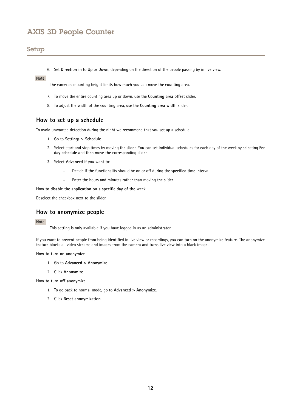## <span id="page-11-0"></span>Setup

6. Set **Direction in** to **Up** or **Down**, depending on the direction of the people passing by in live view.

### Note

The camera's mounting height limits how much you can move the counting area.

- 7. To move the entire counting area up or down, use the **Counting area offset** slider.
- 8. To adjust the width of the counting area, use the **Counting area width** slider.

### **How to set up <sup>a</sup> schedule**

To avoid unwanted detection during the night we recommend that you set up <sup>a</sup> schedule.

- 1. Go to **Settings <sup>&</sup>gt; Schedule**.
- 2. Select start and stop times by moving the slider. You can set individual schedules for each day of the week by selecting **Per day schedule** and then move the corresponding slider.
- 3. Select **Advanced** if you want to:
	- Decide if the functionality should be on or off during the specified time interval.
	- -Enter the hours and minutes rather than moving the slider.

**How to disable the application on <sup>a</sup> specific day of the week**

Deselect the checkbox next to the slider.

### **How to anonymize people**

### Note

This setting is only available if you have logged in as an administrator.

If you want to prevent people from being identified in live view or recordings, you can turn on the anonymize feature. The anonymize feature blocks all video streams and images from the camera and turns live view into <sup>a</sup> black image.

#### **How to turn on anonymize**

- 1. Go to **Advanced <sup>&</sup>gt; Anonymize**.
- 2. Click **Anonymize**.

**How to turn off anonymize**

- 1. To go back to normal mode, go to **Advanced <sup>&</sup>gt; Anonymize**.
- 2. Click **Reset anonymization**.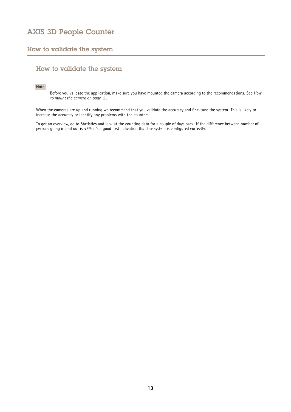## <span id="page-12-0"></span>How to validate the system

## How to validate the system

### Note

Before you validate the application, make sure you have mounted the camera according to the recommendations. See *[How](#page-4-0) to [mount](#page-4-0) the camera on page [5](#page-4-0)* .

When the cameras are up and running we recommend that you validate the accuracy and fine-tune the system. This is likely to increase the accuracy or identify any problems with the counters.

To get an overview, go to **Statistics** and look at the counting data for <sup>a</sup> couple of days back. If the difference between number of persons going in and out is <5% it's <sup>a</sup> good first indication that the system is configured correctly.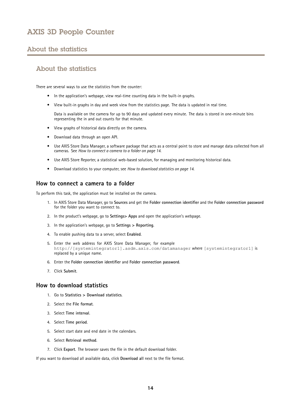## <span id="page-13-0"></span>About the statistics

## About the statistics

There are several ways to use the statistics from the counter:

- In the application's webpage, view real-time counting data in the built-in graphs.
- View built-in graphs in day and week view from the statistics page. The data is updated in real time.

Data is available on the camera for up to 90 days and updated every minute. The data is stored in one-minute bins representing the in and out counts for that minute.

- View graphs of historical data directly on the camera.
- •Download data through an open API.
- • Use AXIS Store Data Manager, <sup>a</sup> software package that acts as <sup>a</sup> central point to store and manage data collected from all cameras. See *How to connect <sup>a</sup> camera to <sup>a</sup> folder on page 14*.
- Use AXIS Store Reporter, <sup>a</sup> statistical web-based solution, for managing and monitoring historical data.
- Download statistics to your computer, see *How to download statistics on page 14*.

### **How to connect <sup>a</sup> camera to <sup>a</sup> folder**

To perform this task, the application must be installed on the camera.

- 1. In AXIS Store Data Manager, go to **Sources** and get the **Folder connection identifier** and the **Folder connection password** for the folder you want to connect to.
- 2. In the product's webpage, go to **Settings> Apps** and open the application's webpage.
- 3. In the application's webpage, go to **Settings <sup>&</sup>gt; Reporting**.
- 4. To enable pushing data to <sup>a</sup> server, select **Enabled**.
- 5. Enter the web address for AXIS Store Data Manager, for example http://[systemintegrator1].asdm.axis.com/datamanager where [systemintegrator1] is replaced by <sup>a</sup> unique name.
- 6. Enter the **Folder connection identifier** and **Folder connection password**.
- 7. Click **Submit**.

### **How to download statistics**

- 1. Go to **Statistics <sup>&</sup>gt; Download statistics**.
- 2. Select the **File format**.
- 3. Select **Time interval**.
- 4. Select **Time period**.
- 5. Select start date and end date in the calendars.
- 6. Select **Retrieval method**.
- 7. Click **Export**. The browser saves the file in the default download folder.

If you want to download all available data, click **Download all** next to the file format.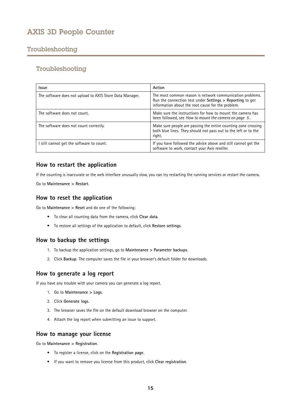## <span id="page-14-0"></span>Troubleshooting

## Troubleshooting

| <b>Issue</b>                                             | Action                                                                                                                                                                      |
|----------------------------------------------------------|-----------------------------------------------------------------------------------------------------------------------------------------------------------------------------|
| The software does not upload to AXIS Store Data Manager. | The most common reason is network communication problems.<br>Run the connection test under Settings > Reporting to get<br>information about the root cause for the problem. |
| The software does not count.                             | Make sure the instructions for how to mount the camera has<br>been followed, see How to mount the camera on page 5.                                                         |
| The software does not count correctly.                   | Make sure people are passing the entire counting zone crossing<br>both blue lines. They should not pass out to the left or to the<br>right.                                 |
| still cannot get the software to count.                  | If you have followed the advice above and still cannot get the<br>software to work, contact your Axis reseller.                                                             |

## **How to restart the application**

If the counting is inaccurate or the web interface unusually slow, you can try restarting the running services or restart the camera.

Go to **Maintenance <sup>&</sup>gt; Restart**.

### **How to reset the application**

Go to **Maintenance <sup>&</sup>gt; Reset** and do one of the following:

- To clear all counting data from the camera, click **Clear data**.
- To restore all settings of the application to default, click **Restore settings**.

### **How to backup the settings**

- 1. To backup the application settings, go to **Maintenance <sup>&</sup>gt; Parameter backups**.
- 2. Click **Backup**. The computer saves the file in your browser's default folder for downloads.

## **How to generate <sup>a</sup> log report**

If you have any trouble with your camera you can generate <sup>a</sup> log report.

- 1. Go to **Maintenance <sup>&</sup>gt; Logs**.
- 2. Click **Generate logs**.
- 3. The browser saves the file on the default download browser on the computer.
- 4. Attach the log report when submitting an issue to support.

### **How to manage your license**

Go to **Maintenance <sup>&</sup>gt; Registration**.

- To register <sup>a</sup> license, click on the **Registration page**.
- If you want to remove you license from this product, click **Clear registration**.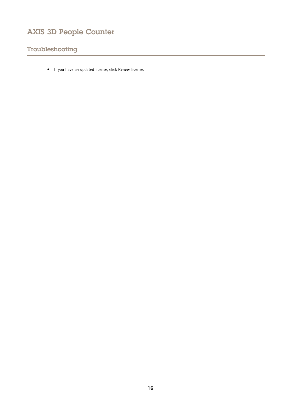## Troubleshooting

• If you have an updated license, click **Renew license**.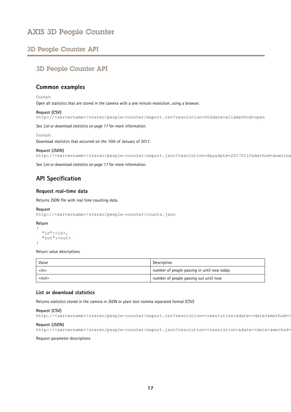## <span id="page-16-0"></span>3D People Counter API

## 3D People Counter API

### **Common examples**

#### **Example**

Open all statistics that are stored in the camera with <sup>a</sup> one minute resolution, using <sup>a</sup> browser.

### **Request (CSV)**

http://<servername>/stereo/people-counter/export.csv?resolution=60&date=all&method=open

See *List or download statistics on page 17* for more information.

#### **Example**

Download statistics that occurred on the 10th of January of 2017.

### **Request (JSON)**

http://<servername>/stereo/people-counter/export.json?resolution=day&date=20170110&method=download

See *List or download statistics on page 17* for more information.

## **API Specification**

### **Request real-time data**

Returns JSON file with real time counting data.

### **Request**

http://<servername>/stereo/people-counter/counts.json

### **Return**

```
{
   "in":<in>,
   "out":<out>
 }
```
Return value descriptions

| Value                  | Description                                 |
|------------------------|---------------------------------------------|
| $\langle$ in $\rangle$ | number of people passing in until now today |
| $out$                  | number of people passing out until now      |

### **List or download statistics**

Returns statistics stored in the camera in JSON or plain text comma separated format (CSV)

### **Request (CSV)**

```
http://<servername>/stereo/people-counter/export.csv?resolution=<resolution>&date=<date>&method=<method>
```
### **Request (JSON)**

```
http://<servername>/stereo/people-counter/export.json?resolution=<resolution>&date=<date>&method=<method>
```
#### Request parameter descriptions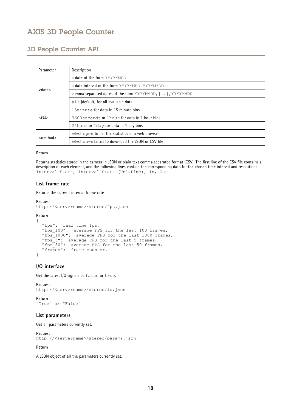## 3D People Counter API

| Parameter      | Description                                              |
|----------------|----------------------------------------------------------|
|                | a date of the form YYYYMMDD                              |
|                | a date interval of the form YYYYMMDD-YYYYMMDD            |
| $<$ date $>$   | comma separated dates of the form YYYYMMDD, [], YYYYMMDD |
|                | all (default) for all available data                     |
| $<$ res $>$    | 15minute for data in 15 minute bins                      |
|                | 3600 seconds or 1 hour for data in 1 hour bins           |
|                | 24hour or 1day for data in 1 day bins                    |
| $<$ method $>$ | select open to list the statistics in a web browser      |
|                | select download to download the JSON or CSV file         |

### **Return**

Returns statistics stored in the camera in JSON or plain text comma separated format (CSV). The first line of the CSV file contains <sup>a</sup> description of each element, and the following lines contain the corresponding data for the chosen time interval and resolution: Interval Start, Interval Start (Unixtime), In, Out

### **List frame rate**

Returns the current internal frame rate

### **Request**

http://<servername>/stereo/fps.json

### **Return**

```
{
  "fps": real time fps,
  "fps_100": average FPS for the last 100 frames,
  "fps_1000": average FPS for the last 1000 frames,
  "fps_5": average FPS for the last 5 frames,
   "fps_50": average FPS for the last 50 frames,
"frames": frame counter.
}
```
### **I/O interface**

Get the latest I/O signals as false or true.

#### **Request**

http://<servername>/stereo/io.json

**Return** "True" or "False"

### **List parameters**

Get all parameters currently set.

**Request**

http://<servername>/stereo/params.json

### **Return**

A JSON object of all the parameters currently set.